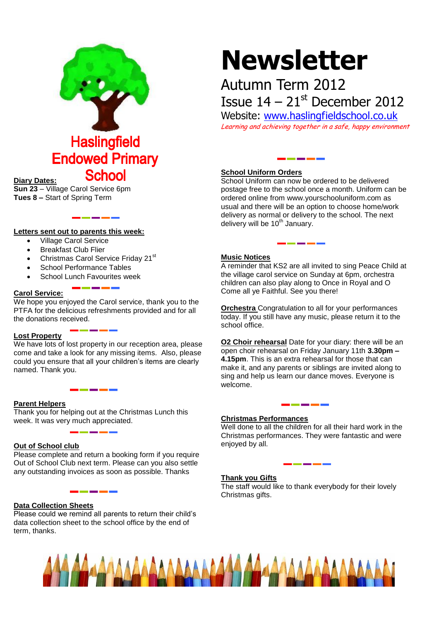

**Diary Dates: Sun 23** – Village Carol Service 6pm **Tues 8 –** Start of Spring Term

# **Letters sent out to parents this week:**

- Village Carol Service
- Breakfast Club Flier
- Christmas Carol Service Friday 21<sup>st</sup>
- School Performance Tables
- School Lunch Favourites week

# **Carol Service:**

We hope you enjoyed the Carol service, thank you to the PTFA for the delicious refreshments provided and for all the donations received.

# **Lost Property**

We have lots of lost property in our reception area, please come and take a look for any missing items. Also, please could you ensure that all your children's items are clearly named. Thank you.

# **Parent Helpers**

Thank you for helping out at the Christmas Lunch this week. It was very much appreciated.

# **Out of School club**

Please complete and return a booking form if you require Out of School Club next term. Please can you also settle any outstanding invoices as soon as possible. Thanks

# **Data Collection Sheets**

Please could we remind all parents to return their child's data collection sheet to the school office by the end of term, thanks.

# **Newsletter**

# Autumn Term 2012 Issue  $14 - 21$ <sup>st</sup> December 2012

Website: [www.haslingfieldschool.co.uk](http://www.haslingfieldschool.co.uk/) Learning and achieving together in a safe, happy environment

# **School Uniform Orders**

School Uniform can now be ordered to be delivered postage free to the school once a month. Uniform can be ordered online from www.yourschooluniform.com as usual and there will be an option to choose home/work delivery as normal or delivery to the school. The next delivery will be  $10<sup>th</sup>$  January.

# **Music Notices**

A reminder that KS2 are all invited to sing Peace Child at the village carol service on Sunday at 6pm, orchestra children can also play along to Once in Royal and O Come all ye Faithful. See you there!

**Orchestra** Congratulation to all for your performances today. If you still have any music, please return it to the school office.

**O2 Choir rehearsal** Date for your diary: there will be an open choir rehearsal on Friday January 11th **3.30pm – 4.15pm**. This is an extra rehearsal for those that can make it, and any parents or siblings are invited along to sing and help us learn our dance moves. Everyone is welcome.

# **Christmas Performances**

Well done to all the children for all their hard work in the Christmas performances. They were fantastic and were enjoyed by all.

# **Thank you Gifts**

The staff would like to thank everybody for their lovely Christmas gifts.